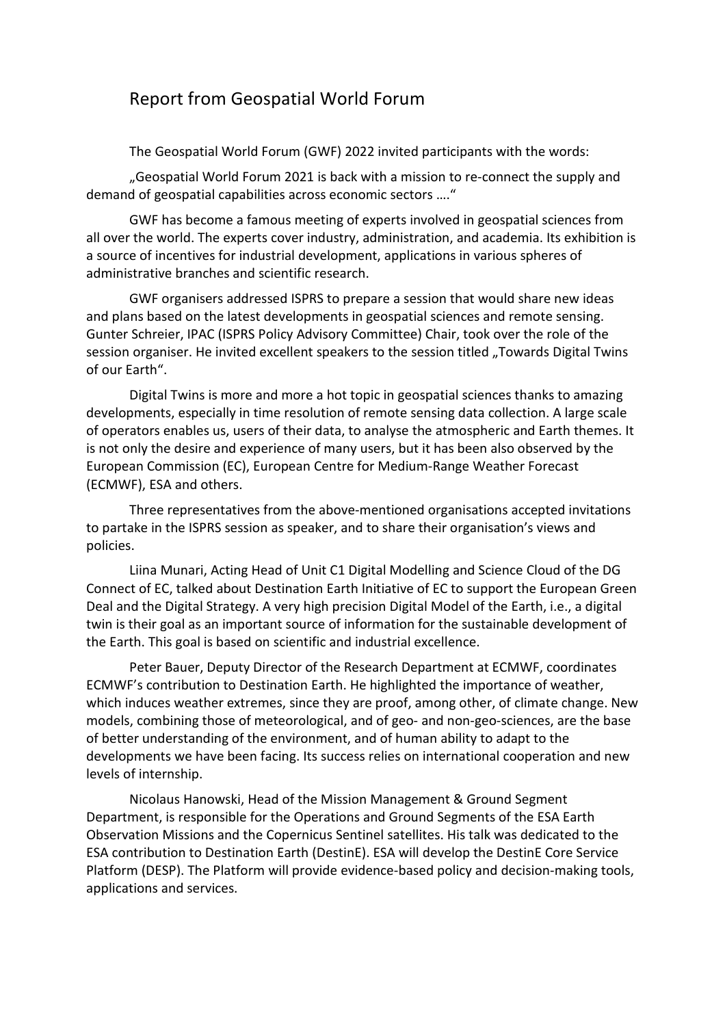## Report from Geospatial World Forum

The Geospatial World Forum (GWF) 2022 invited participants with the words:

"Geospatial World Forum 2021 is back with a mission to re-connect the supply and demand of geospatial capabilities across economic sectors …."

GWF has become a famous meeting of experts involved in geospatial sciences from all over the world. The experts cover industry, administration, and academia. Its exhibition is a source of incentives for industrial development, applications in various spheres of administrative branches and scientific research.

GWF organisers addressed ISPRS to prepare a session that would share new ideas and plans based on the latest developments in geospatial sciences and remote sensing. Gunter Schreier, IPAC (ISPRS Policy Advisory Committee) Chair, took over the role of the session organiser. He invited excellent speakers to the session titled "Towards Digital Twins of our Earth".

Digital Twins is more and more a hot topic in geospatial sciences thanks to amazing developments, especially in time resolution of remote sensing data collection. A large scale of operators enables us, users of their data, to analyse the atmospheric and Earth themes. It is not only the desire and experience of many users, but it has been also observed by the European Commission (EC), European Centre for Medium-Range Weather Forecast (ECMWF), ESA and others.

Three representatives from the above-mentioned organisations accepted invitations to partake in the ISPRS session as speaker, and to share their organisation's views and policies.

Liina Munari, Acting Head of Unit C1 Digital Modelling and Science Cloud of the DG Connect of EC, talked about Destination Earth Initiative of EC to support the European Green Deal and the Digital Strategy. A very high precision Digital Model of the Earth, i.e., a digital twin is their goal as an important source of information for the sustainable development of the Earth. This goal is based on scientific and industrial excellence.

Peter Bauer, Deputy Director of the Research Department at ECMWF, coordinates ECMWF's contribution to Destination Earth. He highlighted the importance of weather, which induces weather extremes, since they are proof, among other, of climate change. New models, combining those of meteorological, and of geo- and non-geo-sciences, are the base of better understanding of the environment, and of human ability to adapt to the developments we have been facing. Its success relies on international cooperation and new levels of internship.

Nicolaus Hanowski, Head of the Mission Management & Ground Segment Department, is responsible for the Operations and Ground Segments of the ESA Earth Observation Missions and the Copernicus Sentinel satellites. His talk was dedicated to the ESA contribution to Destination Earth (DestinE). ESA will develop the DestinE Core Service Platform (DESP). The Platform will provide evidence-based policy and decision-making tools, applications and services.